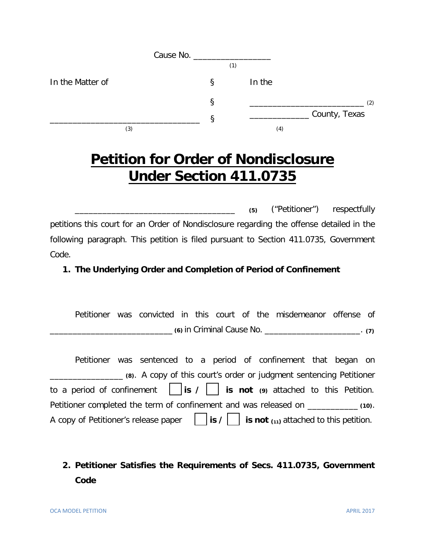|                  |   | (1) |        |               |
|------------------|---|-----|--------|---------------|
| In the Matter of | Ş |     | In the |               |
|                  | Ş |     |        | (2)           |
|                  | ε |     |        | County, Texas |
| (3)              |   |     | (4)    |               |

# **Petition for Order of Nondisclosure Under Section 411.0735**

\_\_\_\_\_\_\_\_\_\_\_\_\_\_\_\_\_\_\_\_\_\_\_\_\_\_\_\_\_\_\_\_\_\_\_ **(5)** ("Petitioner") respectfully petitions this court for an Order of Nondisclosure regarding the offense detailed in the following paragraph. This petition is filed pursuant to Section 411.0735, Government Code.

### **1. The Underlying Order and Completion of Period of Confinement**

Petitioner was convicted in this court of the misdemeanor offense of \_\_\_\_\_\_\_\_\_\_\_\_\_\_\_\_\_\_\_\_\_\_\_\_\_\_\_ **(6)** in Criminal Cause No. \_\_\_\_\_\_\_\_\_\_\_\_\_\_\_\_\_\_\_\_\_. **(7)**

Petitioner was sentenced to a period of confinement that began on \_\_\_\_\_\_\_\_\_\_\_\_\_\_\_\_ **(8)**. A copy of this court's order or judgment sentencing Petitioner to a period of confinement **is / is not (9)** attached to this Petition. Petitioner completed the term of confinement and was released on \_\_\_\_\_\_\_\_\_\_\_ **(10)**. A copy of Petitioner's release paper  $\Box$  is  $\prime \Box$  is not  $\Box$  attached to this petition.

# **2. Petitioner Satisfies the Requirements of Secs. 411.0735, Government Code**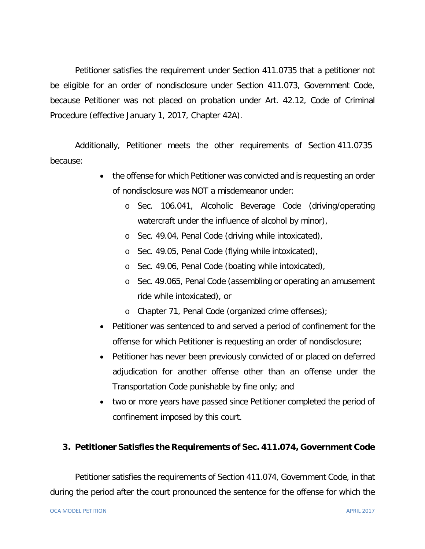Petitioner satisfies the requirement under Section 411.0735 that a petitioner not be eligible for an order of nondisclosure under Section 411.073, Government Code, because Petitioner was not placed on probation under Art. 42.12, Code of Criminal Procedure (effective January 1, 2017, Chapter 42A).

Additionally, Petitioner meets the other requirements of Section 411.0735 because:

- the offense for which Petitioner was convicted and is requesting an order of nondisclosure was NOT a misdemeanor under:
	- o Sec. 106.041, Alcoholic Beverage Code (driving/operating watercraft under the influence of alcohol by minor),
	- o Sec. 49.04, Penal Code (driving while intoxicated),
	- o Sec. 49.05, Penal Code (flying while intoxicated),
	- o Sec. 49.06, Penal Code (boating while intoxicated),
	- o Sec. 49.065, Penal Code (assembling or operating an amusement ride while intoxicated), or
	- o Chapter 71, Penal Code (organized crime offenses);
- Petitioner was sentenced to and served a period of confinement for the offense for which Petitioner is requesting an order of nondisclosure;
- Petitioner has never been previously convicted of or placed on deferred adjudication for another offense other than an offense under the Transportation Code punishable by fine only; and
- two or more years have passed since Petitioner completed the period of confinement imposed by this court.

#### **3. Petitioner Satisfies the Requirements of Sec. 411.074, Government Code**

Petitioner satisfies the requirements of Section 411.074, Government Code, in that during the period after the court pronounced the sentence for the offense for which the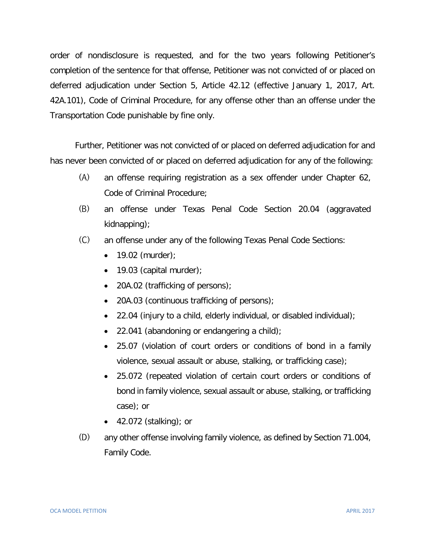order of nondisclosure is requested, and for the two years following Petitioner's completion of the sentence for that offense, Petitioner was not convicted of or placed on deferred adjudication under Section 5, Article 42.12 (effective January 1, 2017, Art. 42A.101), Code of Criminal Procedure, for any offense other than an offense under the Transportation Code punishable by fine only.

Further, Petitioner was not convicted of or placed on deferred adjudication for and has never been convicted of or placed on deferred adjudication for any of the following:

- (A) an offense requiring registration as a sex offender under Chapter 62, Code of Criminal Procedure;
- (B) an offense under Texas Penal Code Section 20.04 (aggravated kidnapping);
- (C) an offense under any of the following Texas Penal Code Sections:
	- $\bullet$  19.02 (murder);
	- $\bullet$  19.03 (capital murder);
	- 20A.02 (trafficking of persons);
	- 20A.03 (continuous trafficking of persons);
	- 22.04 (injury to a child, elderly individual, or disabled individual);
	- 22.041 (abandoning or endangering a child);
	- 25.07 (violation of court orders or conditions of bond in a family violence, sexual assault or abuse, stalking, or trafficking case);
	- 25.072 (repeated violation of certain court orders or conditions of bond in family violence, sexual assault or abuse, stalking, or trafficking case); or
	- 42.072 (stalking); or
- (D) any other offense involving family violence, as defined by Section 71.004, Family Code.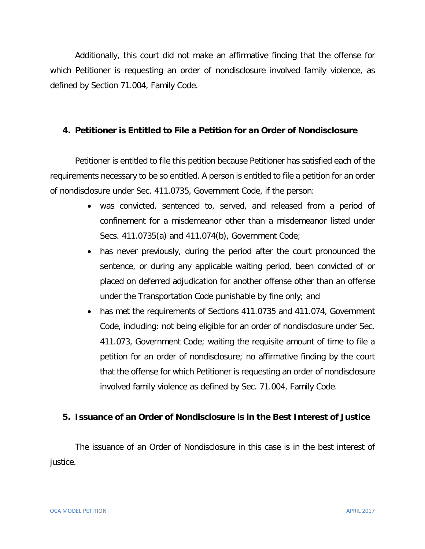Additionally, this court did not make an affirmative finding that the offense for which Petitioner is requesting an order of nondisclosure involved family violence, as defined by Section 71.004, Family Code.

#### **4. Petitioner is Entitled to File a Petition for an Order of Nondisclosure**

Petitioner is entitled to file this petition because Petitioner has satisfied each of the requirements necessary to be so entitled. A person is entitled to file a petition for an order of nondisclosure under Sec. 411.0735, Government Code, if the person:

- was convicted, sentenced to, served, and released from a period of confinement for a misdemeanor other than a misdemeanor listed under Secs. 411.0735(a) and 411.074(b), Government Code;
- has never previously, during the period after the court pronounced the sentence, or during any applicable waiting period, been convicted of or placed on deferred adjudication for another offense other than an offense under the Transportation Code punishable by fine only; and
- has met the requirements of Sections 411.0735 and 411.074, Government Code, including: not being eligible for an order of nondisclosure under Sec. 411.073, Government Code; waiting the requisite amount of time to file a petition for an order of nondisclosure; no affirmative finding by the court that the offense for which Petitioner is requesting an order of nondisclosure involved family violence as defined by Sec. 71.004, Family Code.

#### **5. Issuance of an Order of Nondisclosure is in the Best Interest of Justice**

The issuance of an Order of Nondisclosure in this case is in the best interest of justice.